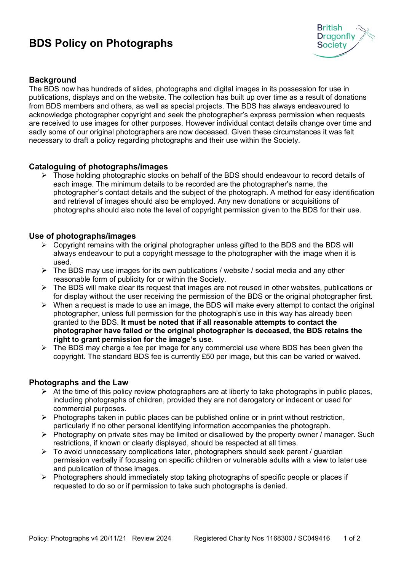# **BDS Policy on Photographs**



## **Background**

The BDS now has hundreds of slides, photographs and digital images in its possession for use in publications, displays and on the website. The collection has built up over time as a result of donations from BDS members and others, as well as special projects. The BDS has always endeavoured to acknowledge photographer copyright and seek the photographer's express permission when requests are received to use images for other purposes. However individual contact details change over time and sadly some of our original photographers are now deceased. Given these circumstances it was felt necessary to draft a policy regarding photographs and their use within the Society.

### **Cataloguing of photographs/images**

 $\triangleright$  Those holding photographic stocks on behalf of the BDS should endeavour to record details of each image. The minimum details to be recorded are the photographer's name, the photographer's contact details and the subject of the photograph. A method for easy identification and retrieval of images should also be employed. Any new donations or acquisitions of photographs should also note the level of copyright permission given to the BDS for their use.

#### **Use of photographs/images**

- $\triangleright$  Copyright remains with the original photographer unless gifted to the BDS and the BDS will always endeavour to put a copyright message to the photographer with the image when it is used.
- $\triangleright$  The BDS may use images for its own publications / website / social media and any other reasonable form of publicity for or within the Society.
- $\triangleright$  The BDS will make clear its request that images are not reused in other websites, publications or for display without the user receiving the permission of the BDS or the original photographer first.
- $\triangleright$  When a request is made to use an image, the BDS will make every attempt to contact the original photographer, unless full permission for the photograph's use in this way has already been granted to the BDS. **It must be noted that if all reasonable attempts to contact the photographer have failed or the original photographer is deceased, the BDS retains the right to grant permission for the image's use**.
- $\triangleright$  The BDS may charge a fee per image for any commercial use where BDS has been given the copyright. The standard BDS fee is currently £50 per image, but this can be varied or waived.

#### **Photographs and the Law**

- $\triangleright$  At the time of this policy review photographers are at liberty to take photographs in public places, including photographs of children, provided they are not derogatory or indecent or used for commercial purposes.
- $\triangleright$  Photographs taken in public places can be published online or in print without restriction, particularly if no other personal identifying information accompanies the photograph.
- $\triangleright$  Photography on private sites may be limited or disallowed by the property owner / manager. Such restrictions, if known or clearly displayed, should be respected at all times.
- $\triangleright$  To avoid unnecessary complications later, photographers should seek parent / guardian permission verbally if focussing on specific children or vulnerable adults with a view to later use and publication of those images.
- $\triangleright$  Photographers should immediately stop taking photographs of specific people or places if requested to do so or if permission to take such photographs is denied.